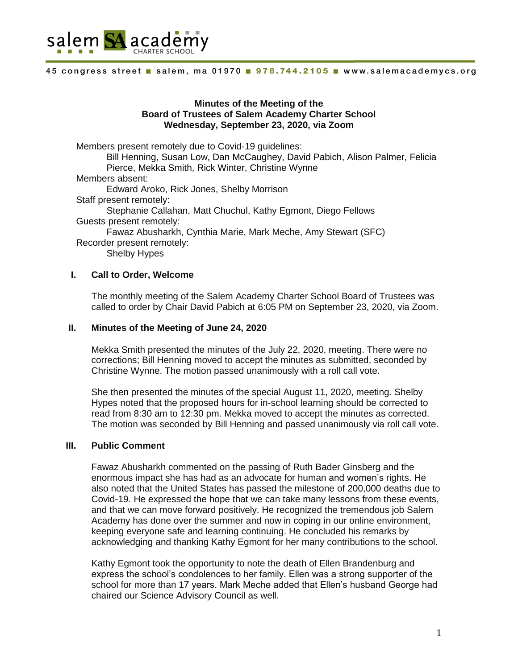

## **Minutes of the Meeting of the Board of Trustees of Salem Academy Charter School Wednesday, September 23, 2020, via Zoom**

Members present remotely due to Covid-19 guidelines: Bill Henning, Susan Low, Dan McCaughey, David Pabich, Alison Palmer, Felicia Pierce, Mekka Smith, Rick Winter, Christine Wynne Members absent: Edward Aroko, Rick Jones, Shelby Morrison Staff present remotely: Stephanie Callahan, Matt Chuchul, Kathy Egmont, Diego Fellows Guests present remotely: Fawaz Abusharkh, Cynthia Marie, Mark Meche, Amy Stewart (SFC) Recorder present remotely: Shelby Hypes

## **I. Call to Order, Welcome**

The monthly meeting of the Salem Academy Charter School Board of Trustees was called to order by Chair David Pabich at 6:05 PM on September 23, 2020, via Zoom.

### **II. Minutes of the Meeting of June 24, 2020**

Mekka Smith presented the minutes of the July 22, 2020, meeting. There were no corrections; Bill Henning moved to accept the minutes as submitted, seconded by Christine Wynne. The motion passed unanimously with a roll call vote.

She then presented the minutes of the special August 11, 2020, meeting. Shelby Hypes noted that the proposed hours for in-school learning should be corrected to read from 8:30 am to 12:30 pm. Mekka moved to accept the minutes as corrected. The motion was seconded by Bill Henning and passed unanimously via roll call vote.

#### **III. Public Comment**

Fawaz Abusharkh commented on the passing of Ruth Bader Ginsberg and the enormous impact she has had as an advocate for human and women's rights. He also noted that the United States has passed the milestone of 200,000 deaths due to Covid-19. He expressed the hope that we can take many lessons from these events, and that we can move forward positively. He recognized the tremendous job Salem Academy has done over the summer and now in coping in our online environment, keeping everyone safe and learning continuing. He concluded his remarks by acknowledging and thanking Kathy Egmont for her many contributions to the school.

Kathy Egmont took the opportunity to note the death of Ellen Brandenburg and express the school's condolences to her family. Ellen was a strong supporter of the school for more than 17 years. Mark Meche added that Ellen's husband George had chaired our Science Advisory Council as well.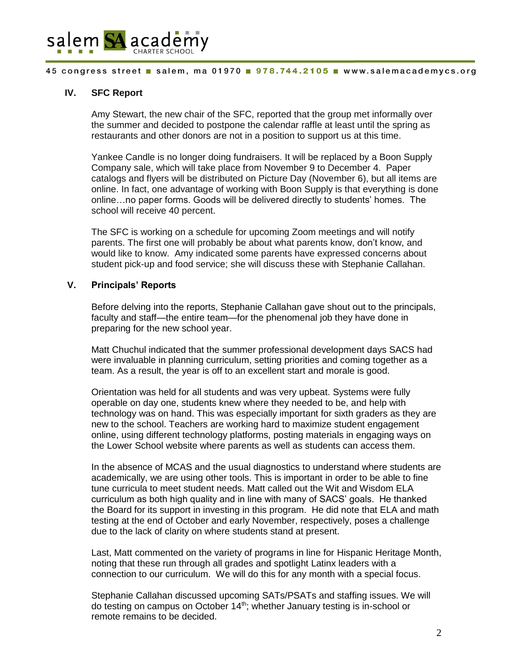

# **IV. SFC Report**

Amy Stewart, the new chair of the SFC, reported that the group met informally over the summer and decided to postpone the calendar raffle at least until the spring as restaurants and other donors are not in a position to support us at this time.

Yankee Candle is no longer doing fundraisers. It will be replaced by a Boon Supply Company sale, which will take place from November 9 to December 4. Paper catalogs and flyers will be distributed on Picture Day (November 6), but all items are online. In fact, one advantage of working with Boon Supply is that everything is done online…no paper forms. Goods will be delivered directly to students' homes. The school will receive 40 percent.

The SFC is working on a schedule for upcoming Zoom meetings and will notify parents. The first one will probably be about what parents know, don't know, and would like to know. Amy indicated some parents have expressed concerns about student pick-up and food service; she will discuss these with Stephanie Callahan.

# **V. Principals' Reports**

Before delving into the reports, Stephanie Callahan gave shout out to the principals, faculty and staff—the entire team—for the phenomenal job they have done in preparing for the new school year.

Matt Chuchul indicated that the summer professional development days SACS had were invaluable in planning curriculum, setting priorities and coming together as a team. As a result, the year is off to an excellent start and morale is good.

Orientation was held for all students and was very upbeat. Systems were fully operable on day one, students knew where they needed to be, and help with technology was on hand. This was especially important for sixth graders as they are new to the school. Teachers are working hard to maximize student engagement online, using different technology platforms, posting materials in engaging ways on the Lower School website where parents as well as students can access them.

In the absence of MCAS and the usual diagnostics to understand where students are academically, we are using other tools. This is important in order to be able to fine tune curricula to meet student needs. Matt called out the Wit and Wisdom ELA curriculum as both high quality and in line with many of SACS' goals. He thanked the Board for its support in investing in this program. He did note that ELA and math testing at the end of October and early November, respectively, poses a challenge due to the lack of clarity on where students stand at present.

Last, Matt commented on the variety of programs in line for Hispanic Heritage Month, noting that these run through all grades and spotlight Latinx leaders with a connection to our curriculum. We will do this for any month with a special focus.

Stephanie Callahan discussed upcoming SATs/PSATs and staffing issues. We will do testing on campus on October 14<sup>th</sup>; whether January testing is in-school or remote remains to be decided.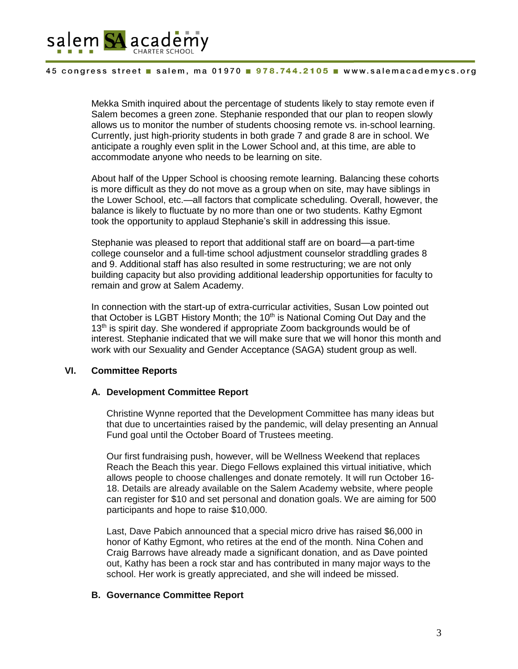

Mekka Smith inquired about the percentage of students likely to stay remote even if Salem becomes a green zone. Stephanie responded that our plan to reopen slowly allows us to monitor the number of students choosing remote vs. in-school learning. Currently, just high-priority students in both grade 7 and grade 8 are in school. We anticipate a roughly even split in the Lower School and, at this time, are able to accommodate anyone who needs to be learning on site.

About half of the Upper School is choosing remote learning. Balancing these cohorts is more difficult as they do not move as a group when on site, may have siblings in the Lower School, etc.—all factors that complicate scheduling. Overall, however, the balance is likely to fluctuate by no more than one or two students. Kathy Egmont took the opportunity to applaud Stephanie's skill in addressing this issue.

Stephanie was pleased to report that additional staff are on board—a part-time college counselor and a full-time school adjustment counselor straddling grades 8 and 9. Additional staff has also resulted in some restructuring; we are not only building capacity but also providing additional leadership opportunities for faculty to remain and grow at Salem Academy.

In connection with the start-up of extra-curricular activities, Susan Low pointed out that October is LGBT History Month; the  $10<sup>th</sup>$  is National Coming Out Day and the 13<sup>th</sup> is spirit day. She wondered if appropriate Zoom backgrounds would be of interest. Stephanie indicated that we will make sure that we will honor this month and work with our Sexuality and Gender Acceptance (SAGA) student group as well.

#### **VI. Committee Reports**

### **A. Development Committee Report**

Christine Wynne reported that the Development Committee has many ideas but that due to uncertainties raised by the pandemic, will delay presenting an Annual Fund goal until the October Board of Trustees meeting.

Our first fundraising push, however, will be Wellness Weekend that replaces Reach the Beach this year. Diego Fellows explained this virtual initiative, which allows people to choose challenges and donate remotely. It will run October 16- 18. Details are already available on the Salem Academy website, where people can register for \$10 and set personal and donation goals. We are aiming for 500 participants and hope to raise \$10,000.

Last, Dave Pabich announced that a special micro drive has raised \$6,000 in honor of Kathy Egmont, who retires at the end of the month. Nina Cohen and Craig Barrows have already made a significant donation, and as Dave pointed out, Kathy has been a rock star and has contributed in many major ways to the school. Her work is greatly appreciated, and she will indeed be missed.

## **B. Governance Committee Report**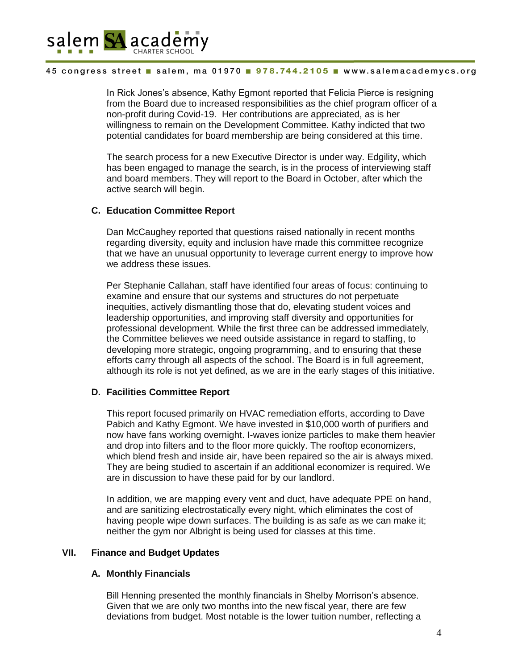

In Rick Jones's absence, Kathy Egmont reported that Felicia Pierce is resigning from the Board due to increased responsibilities as the chief program officer of a non-profit during Covid-19. Her contributions are appreciated, as is her willingness to remain on the Development Committee. Kathy indicted that two potential candidates for board membership are being considered at this time.

The search process for a new Executive Director is under way. Edgility, which has been engaged to manage the search, is in the process of interviewing staff and board members. They will report to the Board in October, after which the active search will begin.

# **C. Education Committee Report**

Dan McCaughey reported that questions raised nationally in recent months regarding diversity, equity and inclusion have made this committee recognize that we have an unusual opportunity to leverage current energy to improve how we address these issues.

Per Stephanie Callahan, staff have identified four areas of focus: continuing to examine and ensure that our systems and structures do not perpetuate inequities, actively dismantling those that do, elevating student voices and leadership opportunities, and improving staff diversity and opportunities for professional development. While the first three can be addressed immediately, the Committee believes we need outside assistance in regard to staffing, to developing more strategic, ongoing programming, and to ensuring that these efforts carry through all aspects of the school. The Board is in full agreement, although its role is not yet defined, as we are in the early stages of this initiative.

## **D. Facilities Committee Report**

This report focused primarily on HVAC remediation efforts, according to Dave Pabich and Kathy Egmont. We have invested in \$10,000 worth of purifiers and now have fans working overnight. I-waves ionize particles to make them heavier and drop into filters and to the floor more quickly. The rooftop economizers, which blend fresh and inside air, have been repaired so the air is always mixed. They are being studied to ascertain if an additional economizer is required. We are in discussion to have these paid for by our landlord.

In addition, we are mapping every vent and duct, have adequate PPE on hand, and are sanitizing electrostatically every night, which eliminates the cost of having people wipe down surfaces. The building is as safe as we can make it; neither the gym nor Albright is being used for classes at this time.

## **VII. Finance and Budget Updates**

## **A. Monthly Financials**

Bill Henning presented the monthly financials in Shelby Morrison's absence. Given that we are only two months into the new fiscal year, there are few deviations from budget. Most notable is the lower tuition number, reflecting a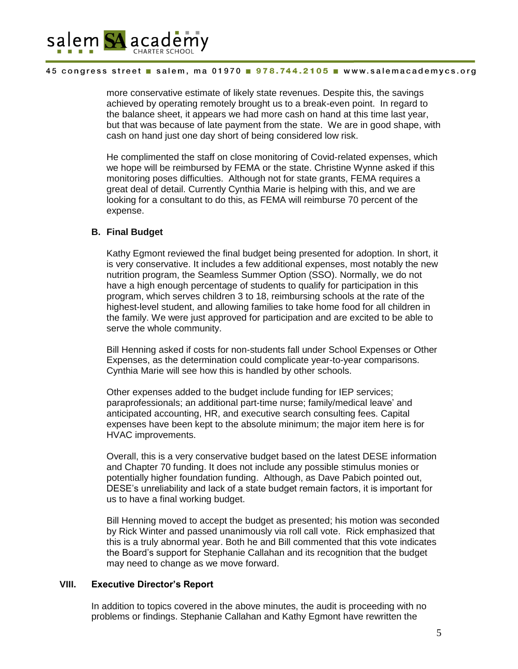

more conservative estimate of likely state revenues. Despite this, the savings achieved by operating remotely brought us to a break-even point. In regard to the balance sheet, it appears we had more cash on hand at this time last year, but that was because of late payment from the state. We are in good shape, with cash on hand just one day short of being considered low risk.

He complimented the staff on close monitoring of Covid-related expenses, which we hope will be reimbursed by FEMA or the state. Christine Wynne asked if this monitoring poses difficulties. Although not for state grants, FEMA requires a great deal of detail. Currently Cynthia Marie is helping with this, and we are looking for a consultant to do this, as FEMA will reimburse 70 percent of the expense.

# **B. Final Budget**

Kathy Egmont reviewed the final budget being presented for adoption. In short, it is very conservative. It includes a few additional expenses, most notably the new nutrition program, the Seamless Summer Option (SSO). Normally, we do not have a high enough percentage of students to qualify for participation in this program, which serves children 3 to 18, reimbursing schools at the rate of the highest-level student, and allowing families to take home food for all children in the family. We were just approved for participation and are excited to be able to serve the whole community.

Bill Henning asked if costs for non-students fall under School Expenses or Other Expenses, as the determination could complicate year-to-year comparisons. Cynthia Marie will see how this is handled by other schools.

Other expenses added to the budget include funding for IEP services; paraprofessionals; an additional part-time nurse; family/medical leave' and anticipated accounting, HR, and executive search consulting fees. Capital expenses have been kept to the absolute minimum; the major item here is for HVAC improvements.

Overall, this is a very conservative budget based on the latest DESE information and Chapter 70 funding. It does not include any possible stimulus monies or potentially higher foundation funding. Although, as Dave Pabich pointed out, DESE's unreliability and lack of a state budget remain factors, it is important for us to have a final working budget.

Bill Henning moved to accept the budget as presented; his motion was seconded by Rick Winter and passed unanimously via roll call vote. Rick emphasized that this is a truly abnormal year. Both he and Bill commented that this vote indicates the Board's support for Stephanie Callahan and its recognition that the budget may need to change as we move forward.

## **VIII. Executive Director's Report**

In addition to topics covered in the above minutes, the audit is proceeding with no problems or findings. Stephanie Callahan and Kathy Egmont have rewritten the